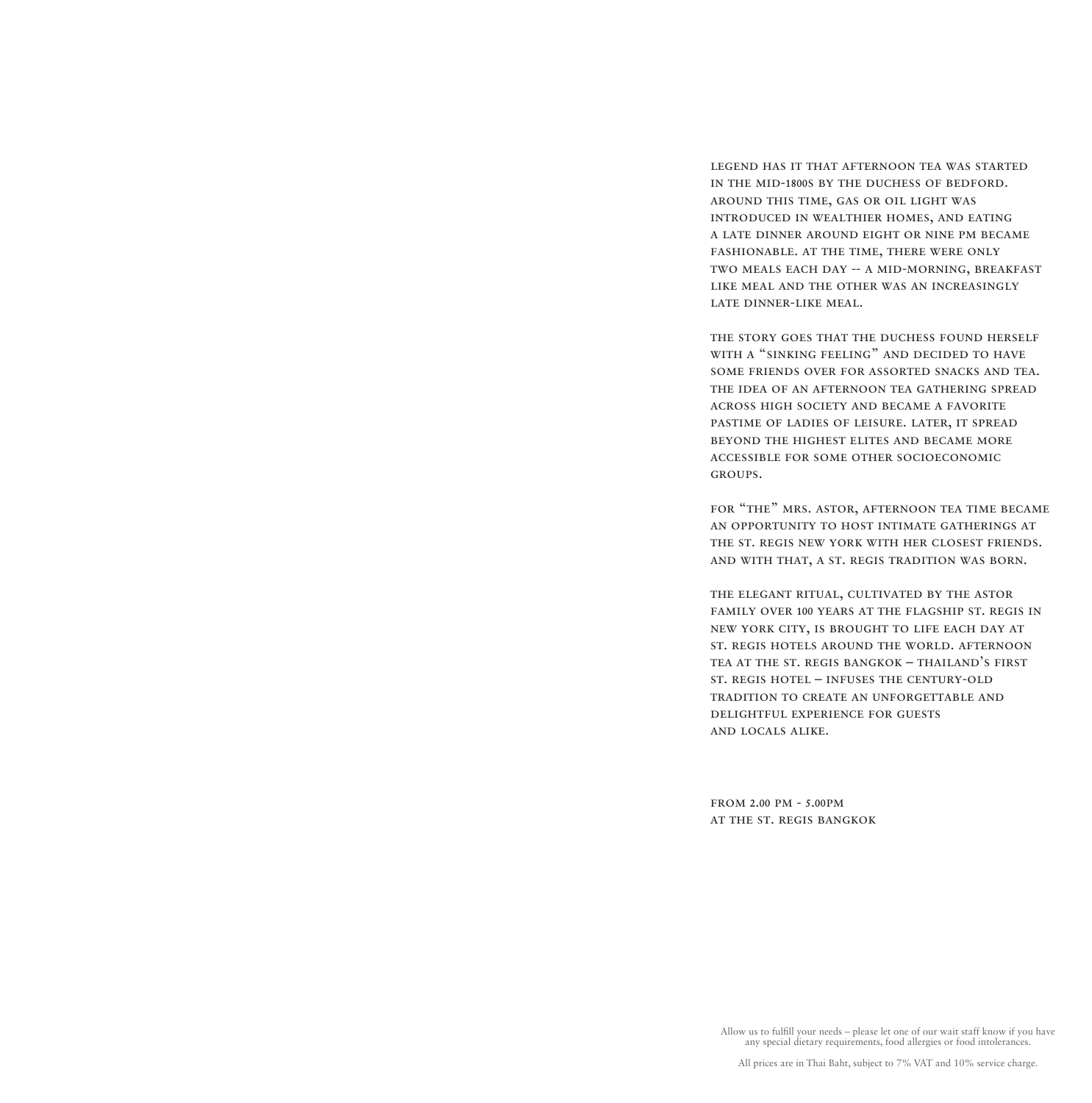legend has it that afternoon tea was started in the mid-1800s by the duchess of bedford. around this time, gas or oil light was introduced in wealthier homes, and eating a late dinner around eight or nine pm became fashionable. at the time, there were only two meals each day -- a mid-morning, breakfast like meal and the other was an increasingly late dinner-like meal.

the story goes that the duchess found herself with a "sinking feeling" and decided to have some friends over for assorted snacks and tea. the idea of an afternoon tea gathering spread across high society and became a favorite pastime of ladies of leisure. later, it spread beyond the highest elites and became more accessible for some other socioeconomic groups.

for "the" mrs. astor, afternoon tea time became an opportunity to host intimate gatherings at the st. regis new york with her closest friends. and with that, a st. regis tradition was born.

the elegant ritual, cultivated by the astor family over 100 years at the flagship st. regis in new york city, is brought to life each day at st. regis hotels around the world. afternoon tea at the st. regis bangkok – thailand's first st. regis hotel – infuses the century-old tradition to create an unforgettable and delightful experience for guests and locals alike.

from 2.00 pm - 5.00pm at the st. regis bangkok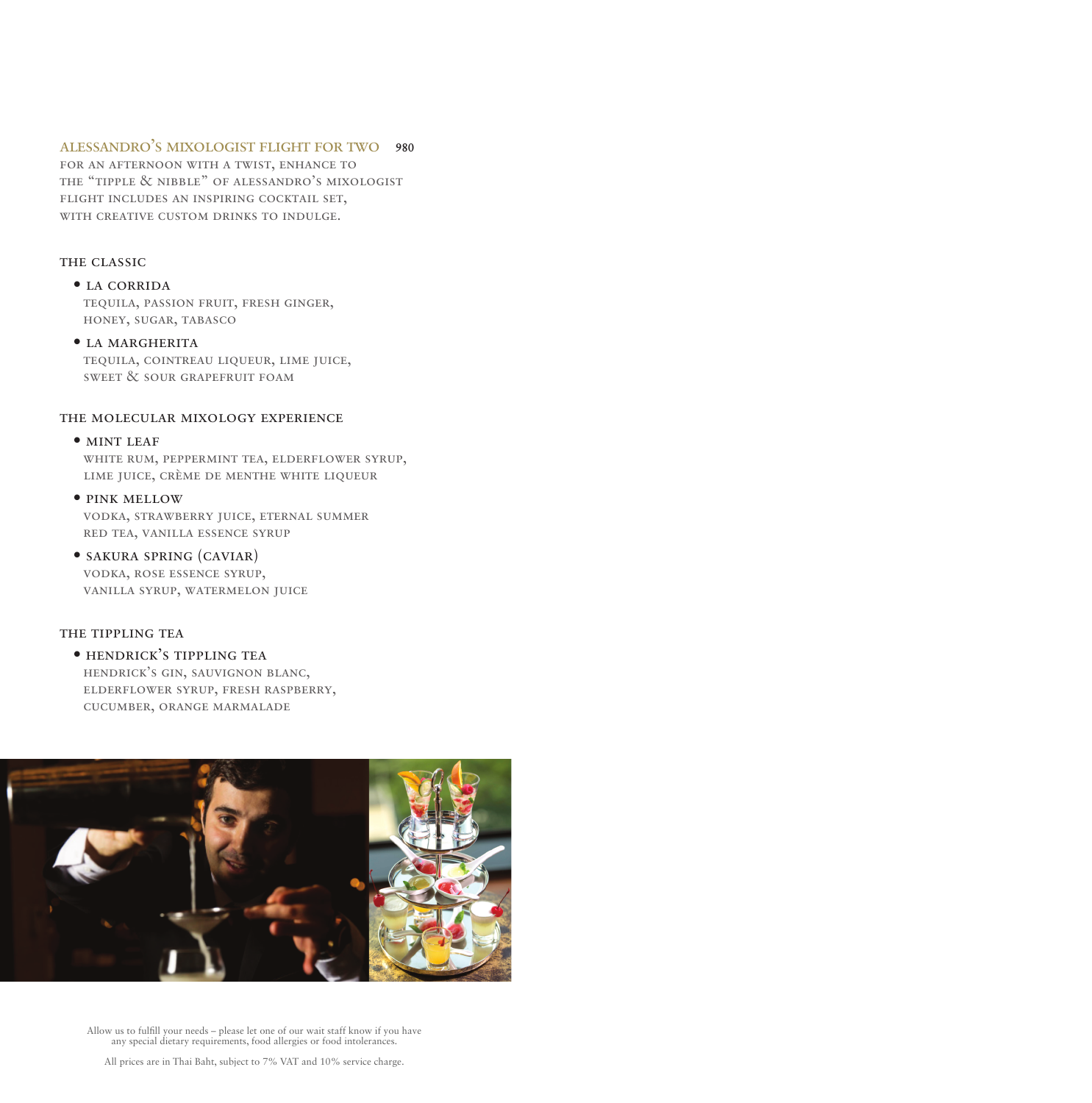# alessandro's mixologist flight for two 980

for an afternoon with a twist, enhance to the "tipple & nibble" of alessandro's mixologist flight includes an inspiring cocktail set, with creative custom drinks to indulge.

# THE CLASSIC

## • la corrida

 tequila, passion fruit, fresh ginger, honey, sugar, tabasco

# • la margherita

 tequila, cointreau liqueur, lime juice, sweet & sour grapefruit foam

### the molecular mixology experience

# • MINT LEAF

 white rum, peppermint tea, elderflower syrup, lime juice, crème de menthe white liqueur

# • pink mellow

 vodka, strawberry juice, eternal summer red tea, vanilla essence syrup

# • sakura spring (caviar)

 vodka, rose essence syrup, vanilla syrup, watermelon juice

### THE TIPPLING TEA

# • hendrick's tippling tea hendrick's gin, sauvignon blanc, elderflower syrup, fresh raspberry, cucumber, orange marmalade

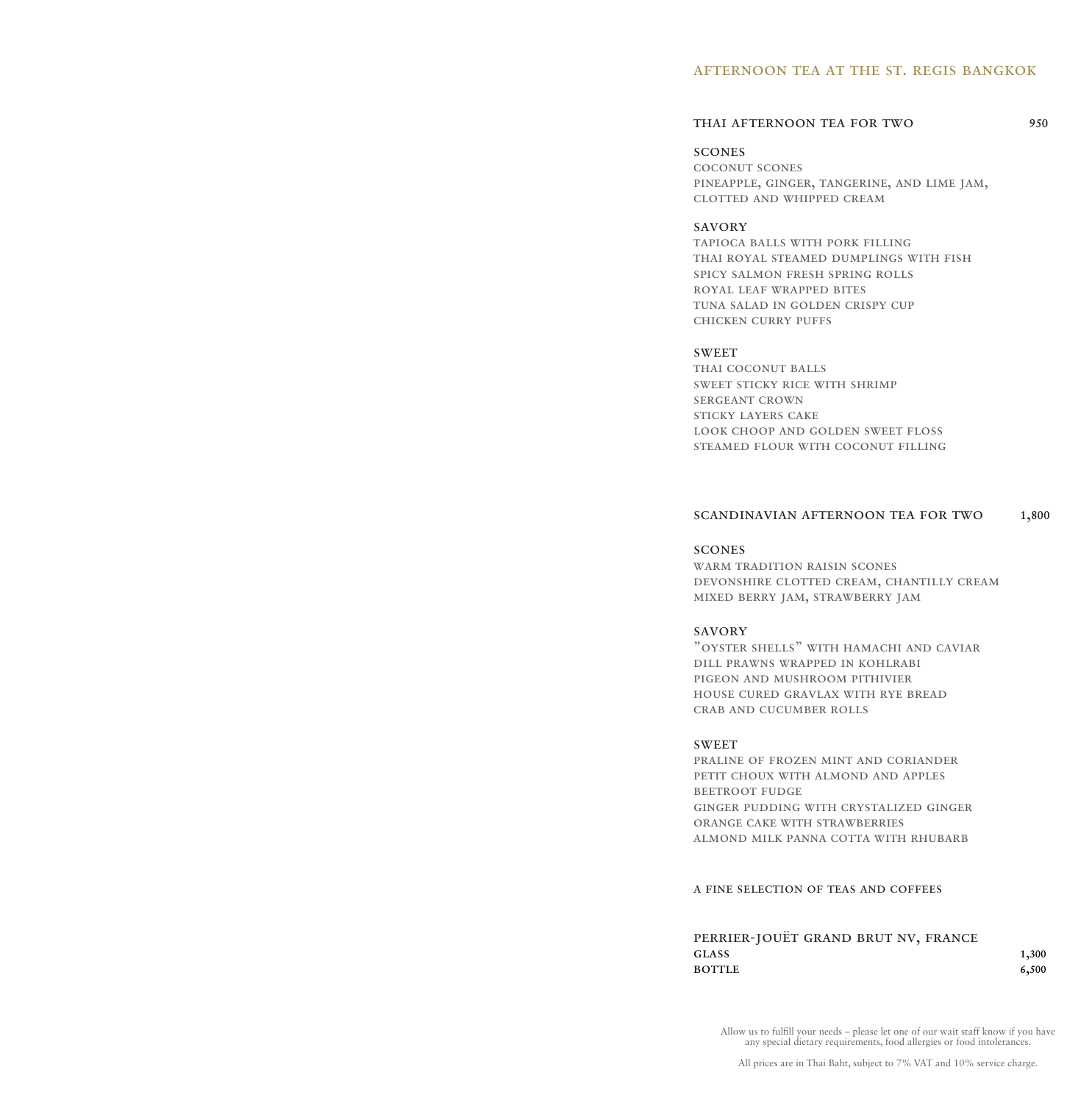### afternoon tea at the st. regis bangkok

# THAI AFTERNOON TEA FOR TWO 950

### scones

coconut scones pineapple, ginger, tangerine, and lime jam, clotted and whipped cream

### savory

tapioca balls with pork filling thai royal steamed dumplings with fish spicy salmon fresh spring rolls royal leaf wrapped bites tuna salad in golden crispy cup chicken curry puffs

### **SWEET**

THAI COCONUT BALLS sweet sticky rice with shrimp sergeant crown sticky layers cake look choop and golden sweet floss steamed flour with coconut filling

### scandinavian afternoon tea for two 1,800

# scones

warm tradition raisin scones devonshire clotted cream, chantilly cream mixed berry jam, strawberry jam

### savory

"oyster shells" with hamachi and caviar dill prawns wrapped in kohlrabi pigeon and mushroom pithivier house cured gravlax with rye bread crab and cucumber rolls

### **SWEET**

praline of frozen mint and coriander PETIT CHOUX WITH ALMOND AND APPLES beetroot fudge ginger pudding with crystalized ginger orange cake with strawberries almond milk panna cotta with rhubarb

### a fine selection of teas and coffees

| PERRIER-JOUËT GRAND BRUT NV, FRANCE |       |
|-------------------------------------|-------|
| GLASS                               | 1,300 |
| BOTTLE                              | 6,500 |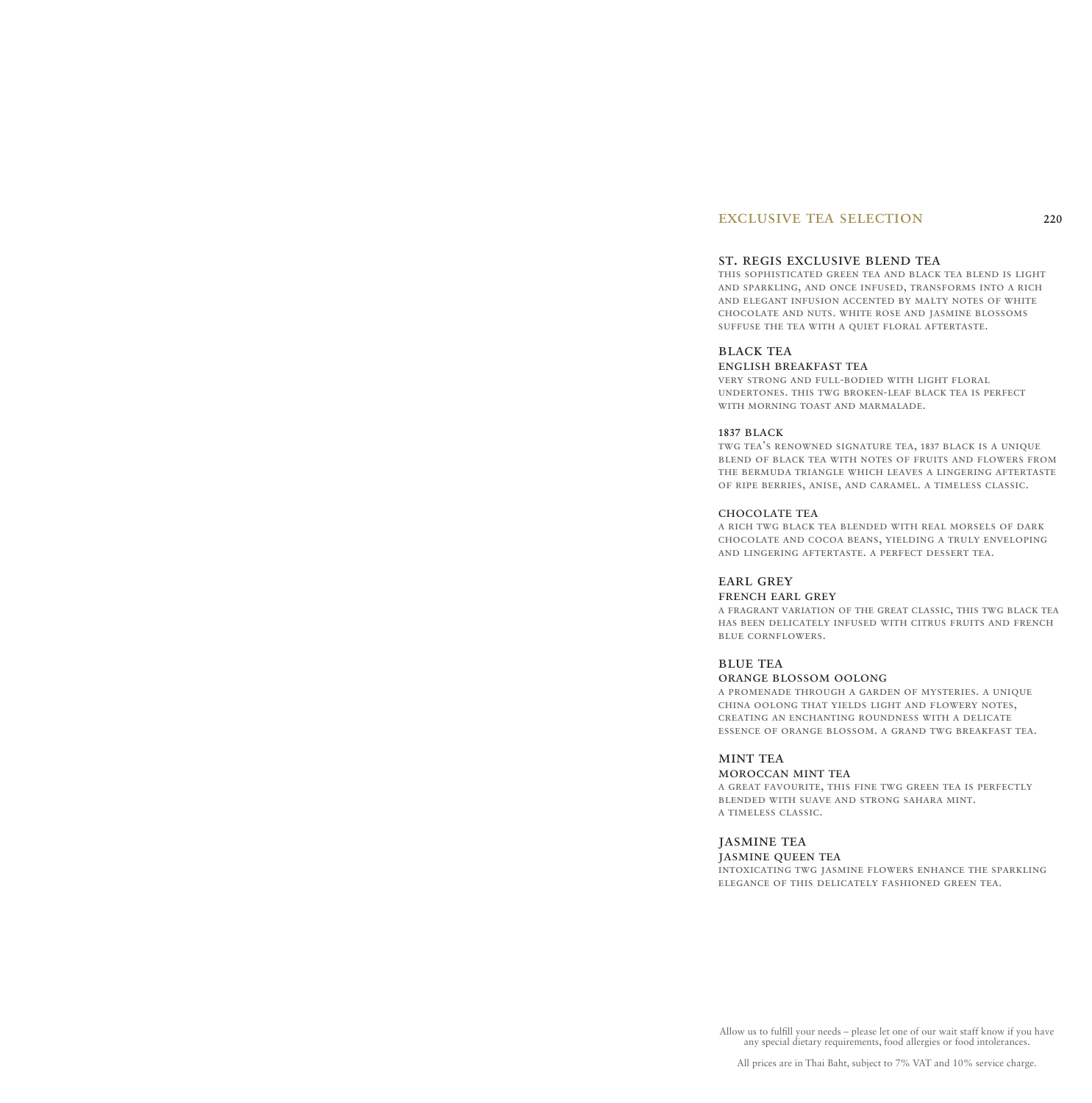# exclusive tea selection 220

### st. regis exclusive blend tea

this sophisticated green tea and black tea blend is light and sparkling, and once infused, transforms into a rich and elegant infusion accented by malty notes of white chocolate and nuts. white rose and jasmine blossoms suffuse the tea with a quiet floral aftertaste.

#### black tea

#### english breakfast tea

very strong and full-bodied with light floral undertones. this twg broken-leaf black tea is perfect with morning toast and marmalade.

#### 1837 black

twg tea's renowned signature tea, 1837 black is a unique blend of black tea with notes of fruits and flowers from the bermuda triangle which leaves a lingering aftertaste of ripe berries, anise, and caramel. a timeless classic.

### chocolate tea

a rich twg black tea blended with real morsels of dark chocolate and cocoa beans, yielding a truly enveloping and lingering aftertaste. a perfect dessert tea.

### EARL GREY

### french earl grey

a fragrant variation of the great classic, this twg black tea has been delicately infused with citrus fruits and french blue cornflowers.

#### **BLUE TEA**

#### orange blossom oolong

a promenade through a garden of mysteries. a unique china oolong that yields light and flowery notes, creating an enchanting roundness with a delicate essence of orange blossom. a grand twg breakfast tea.

### MINT TEA

#### moroccan mint tea

a great favourite, this fine twg green tea is perfectly blended with suave and strong sahara mint. a timeless classic.

### jasmine tea

jasmine queen tea

intoxicating twg jasmine flowers enhance the sparkling elegance of this delicately fashioned green tea.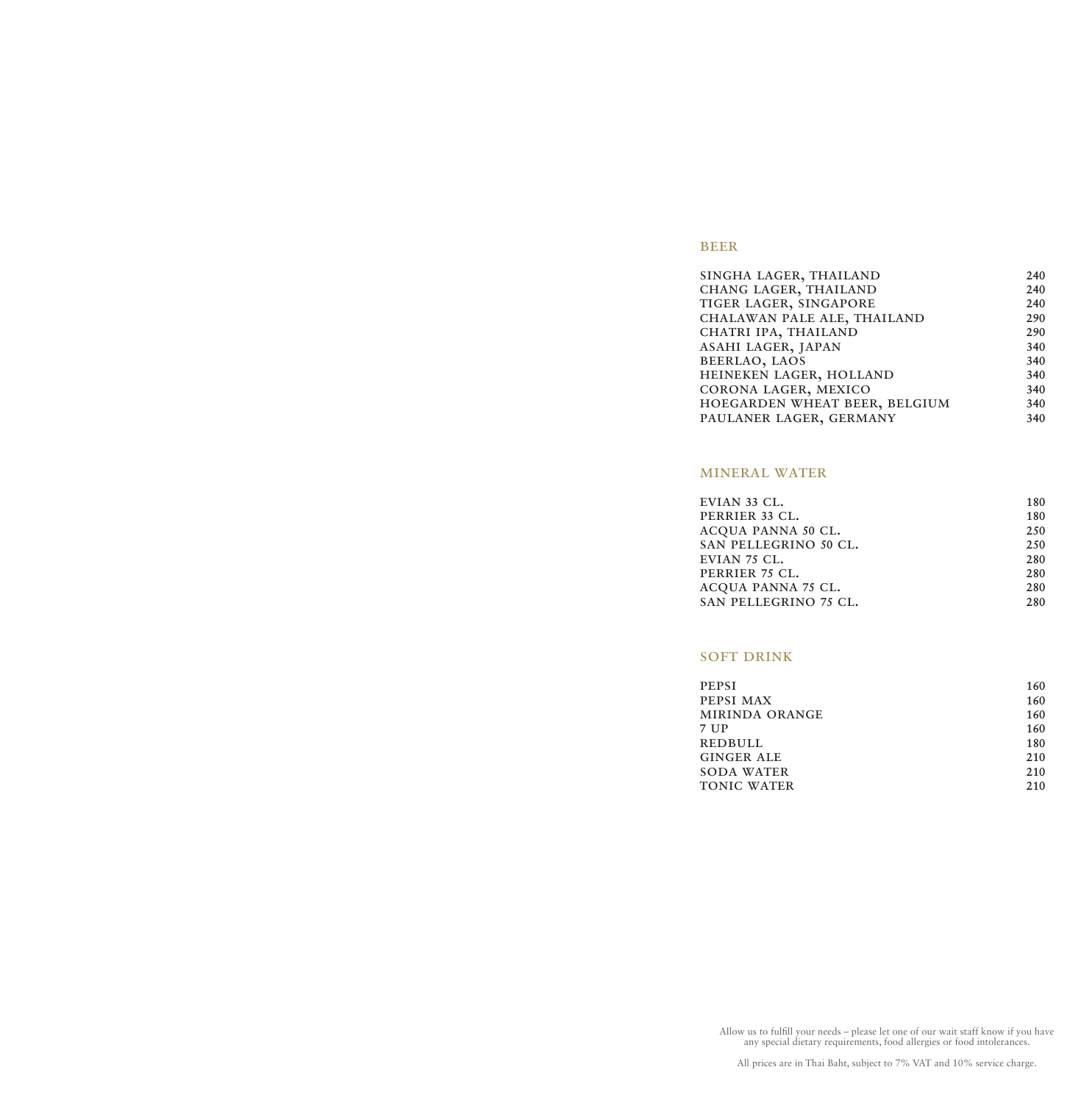# **BEER**

| SINGHA LAGER, THAILAND        | 240 |
|-------------------------------|-----|
| CHANG LAGER, THAILAND         | 240 |
| TIGER LAGER, SINGAPORE        | 240 |
| CHALAWAN PALE ALE, THAILAND   | 290 |
| CHATRI IPA, THAILAND          | 290 |
| ASAHI LAGER, JAPAN            | 340 |
| BEERLAO, LAOS                 | 340 |
| HEINEKEN LAGER, HOLLAND       | 340 |
| CORONA LAGER, MEXICO          | 340 |
| HOEGARDEN WHEAT BEER, BELGIUM | 340 |
| PAULANER LAGER, GERMANY       | 340 |
|                               |     |

# mineral water

| EVIAN 33 CL.          | 180 |
|-----------------------|-----|
| PERRIER 33 CL.        | 180 |
| ACQUA PANNA 50 CL.    | 250 |
| SAN PELLEGRINO 50 CL. | 250 |
| EVIAN 75 CL.          | 280 |
| PERRIER 75 CL.        | 280 |
| ACQUA PANNA 75 CL.    | 280 |
| SAN PELLEGRINO 75 CL. | 280 |
|                       |     |

# **SOFT DRINK**

| <b>PEPSI</b>       | 160 |
|--------------------|-----|
| PEPSI MAX          | 160 |
| MIRINDA ORANGE     | 160 |
| 7 UP               | 160 |
| <b>REDBULL</b>     | 180 |
| <b>GINGER ALE</b>  | 210 |
| <b>SODA WATER</b>  | 210 |
| <b>TONIC WATER</b> | 210 |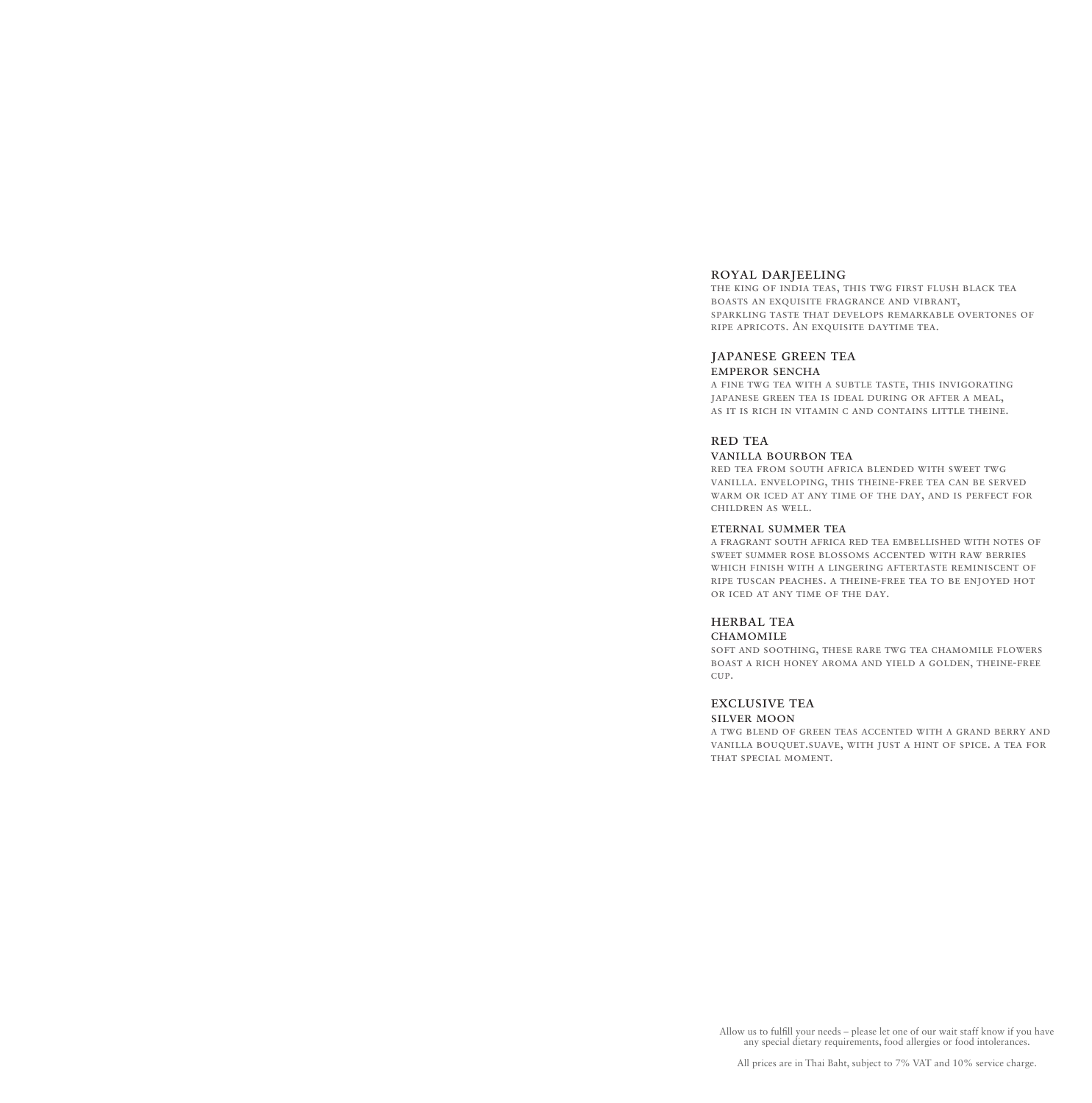### royal darjeeling

the king of india teas, this twg first flush black tea boasts an exquisite fragrance and vibrant, sparkling taste that develops remarkable overtones of ripe apricots. An exquisite daytime tea.

### japanese green tea

#### emperor sencha

a fine twg tea with a subtle taste, this invigorating japanese green tea is ideal during or after a meal, as it is rich in vitamin c and contains little theine.

### RED TEA

#### vanilla bourbon tea

red tea from south africa blended with sweet twg vanilla. enveloping, this theine-free tea can be served warm or iced at any time of the day, and is perfect for children as well.

#### eternal summer tea

a fragrant south africa red tea embellished with notes of sweet summer rose blossoms accented with raw berries which finish with a lingering aftertaste reminiscent of ripe tuscan peaches. a theine-free tea to be enjoyed hot or iced at any time of the day.

### herbal tea

#### **CHAMOMILE**

soft and soothing, these rare twg tea chamomile flowers boast a rich honey aroma and yield a golden, theine-free cup.

### exclusive tea silver moon

a twg blend of green teas accented with a grand berry and vanilla bouquet.suave, with just a hint of spice. a tea for that special moment.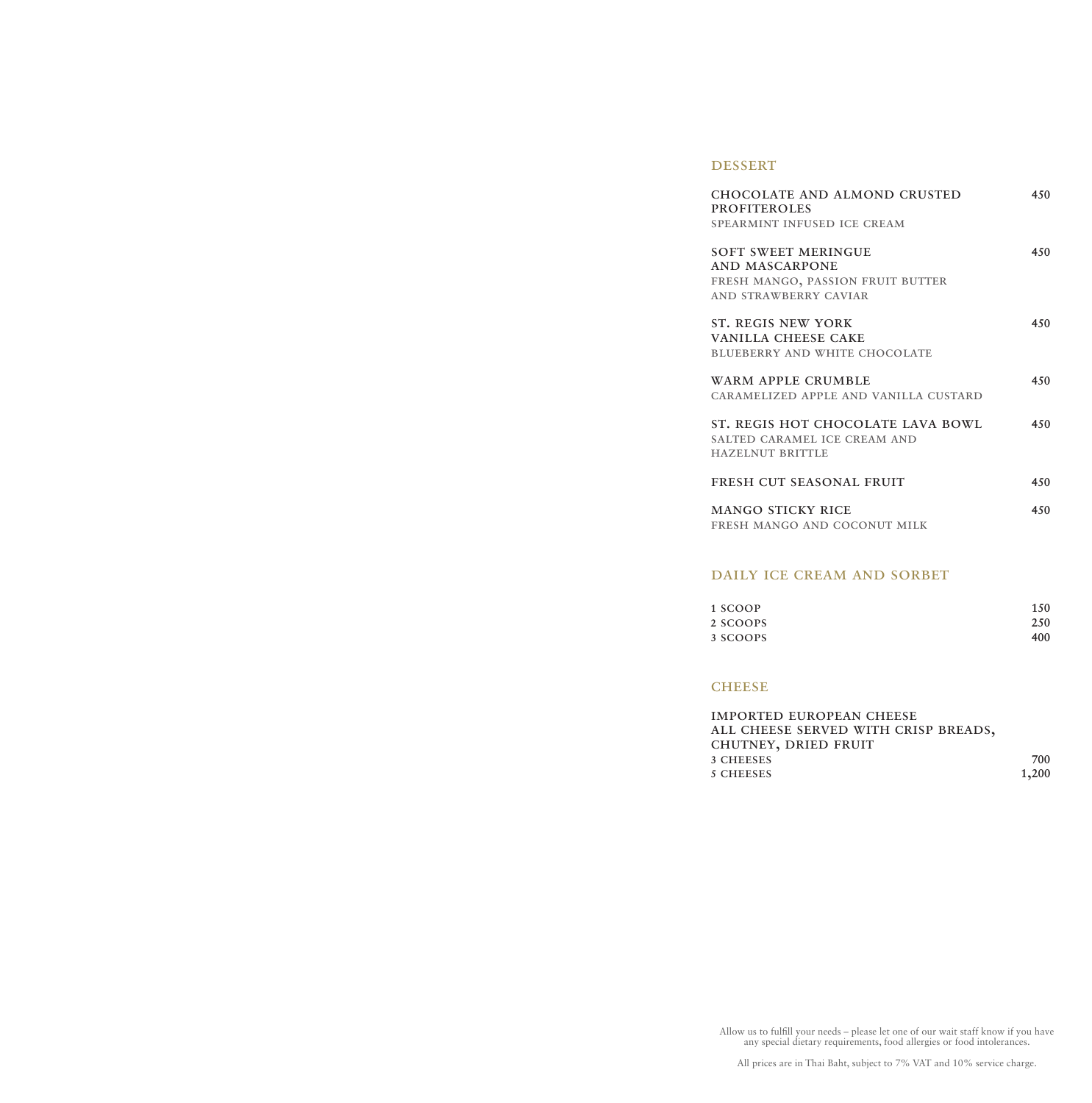### **DESSERT**

| <b>CHOCOLATE AND ALMOND CRUSTED</b><br><b>PROFITEROLES</b><br>SPEARMINT INFUSED ICE CREAM                  | 450 |
|------------------------------------------------------------------------------------------------------------|-----|
| <b>SOFT SWEET MERINGUE</b><br>AND MASCARPONE<br>FRESH MANGO, PASSION FRUIT BUTTER<br>AND STRAWBERRY CAVIAR | 450 |
| ST. REGIS NEW YORK<br><b>VANILLA CHEESE CAKE</b><br><b>BLUEBERRY AND WHITE CHOCOLATE</b>                   | 450 |
| WARM APPLE CRUMBLE<br>CARAMELIZED APPLE AND VANILLA CUSTARD                                                | 450 |
| ST. REGIS HOT CHOCOLATE LAVA BOWL<br>SALTED CARAMEL ICE CREAM AND<br><b>HAZELNUT BRITTLE</b>               | 450 |
| FRESH CUT SEASONAL FRUIT                                                                                   | 450 |
| <b>MANGO STICKY RICE</b><br>FRESH MANGO AND COCONUT MILK                                                   | 450 |

# daily ice cream and sorbet

| 1 SCOOP  | 150 |
|----------|-----|
| 2 SCOOPS | 250 |
| 3 SCOOPS | 400 |

## **CHEESE**

imported european cheese all cheese served with crisp breads, chutney, dried fruit 3 CHEESES 700<br>5 CHEESES 1,200 5 CHEESES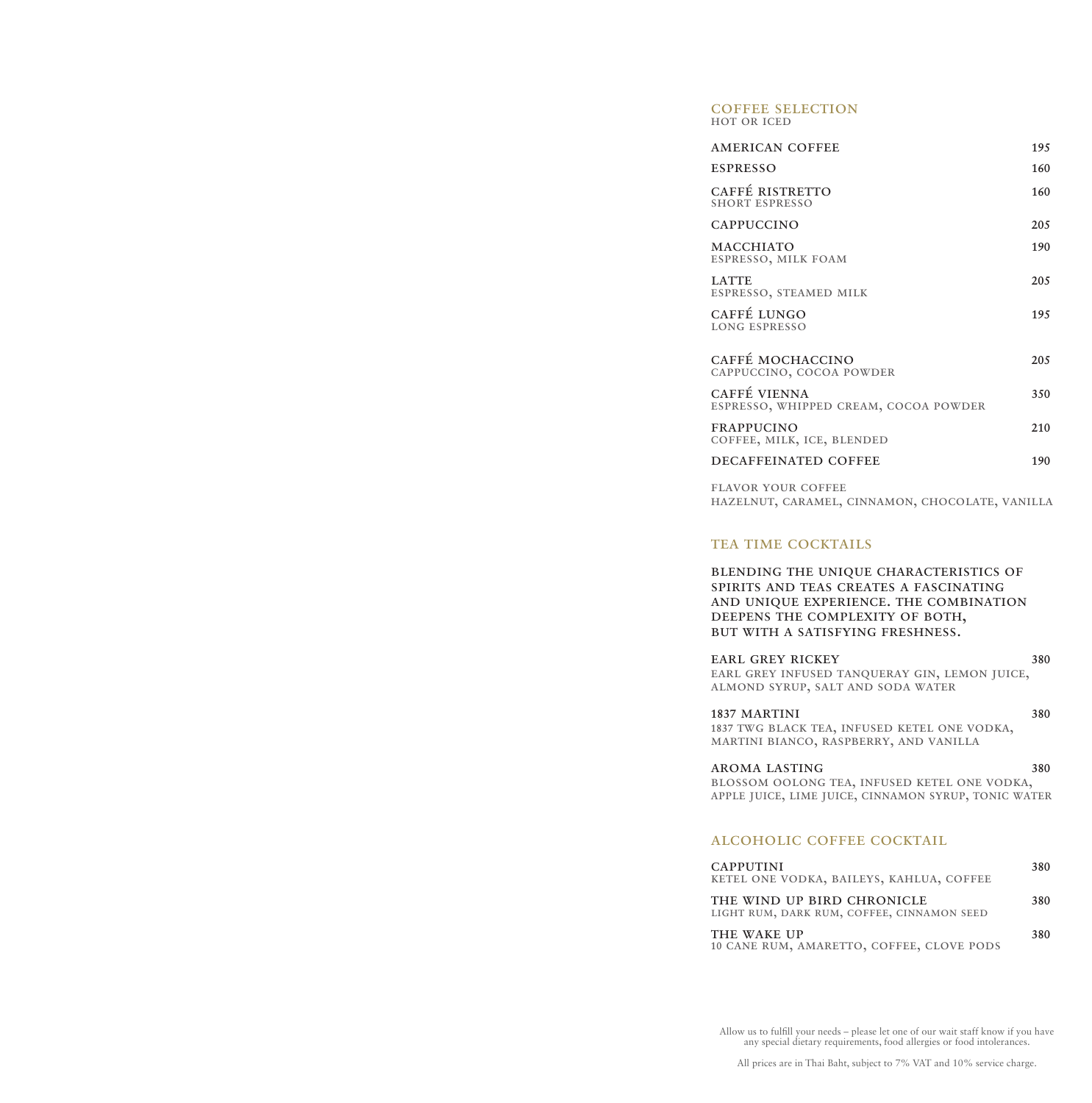#### coffee selection hot or iced

| <b>AMERICAN COFFEE</b>                                | 195  |
|-------------------------------------------------------|------|
| <b>ESPRESSO</b>                                       | 160  |
| CAFFÉ RISTRETTO<br><b>SHORT ESPRESSO</b>              | 160  |
| <b>CAPPUCCINO</b>                                     | 20.5 |
| <b>MACCHIATO</b><br>ESPRESSO, MILK FOAM               | 190  |
| <b>LATTE</b><br>ESPRESSO, STEAMED MILK                | 20.5 |
| CAFFÉ LUNGO<br><b>LONG ESPRESSO</b>                   | 195  |
| CAFFÉ MOCHACCINO<br>CAPPUCCINO, COCOA POWDER          | 20.5 |
| CAFFÉ VIENNA<br>ESPRESSO, WHIPPED CREAM, COCOA POWDER | 350  |
| <b>FRAPPUCINO</b><br>COFFEE, MILK, ICE, BLENDED       | 2.10 |
| DECAFFEINATED COFFEE                                  | 190  |

flavor your coffee hazelnut, caramel, cinnamon, chocolate, vanilla

# TEA TIME COCKTAILS

blending the unique characteristics of spirits and teas creates a fascinating and unique experience. the combination deepens the complexity of both, but with a satisfying freshness.

EARL GREY RICKEY 380 earl grey infused tanqueray gin, lemon juice, almond syrup, salt and soda water

1837 MARTINI 380 1837 twg black tea, infused ketel one vodka, martini bianco, raspberry, and vanilla

### aroma lasting 380 blossom oolong tea, infused ketel one vodka, apple juice, lime juice, cinnamon syrup, tonic water

# alcoholic coffee cocktail

| <b>CAPPUTINI</b><br>KETEL ONE VODKA, BAILEYS, KAHLUA, COFFEE             | 380 |
|--------------------------------------------------------------------------|-----|
| THE WIND UP BIRD CHRONICLE<br>LIGHT RUM, DARK RUM, COFFEE, CINNAMON SEED | 380 |
| THE WAKE UP<br>10 CANE RUM, AMARETTO, COFFEE, CLOVE PODS                 | 380 |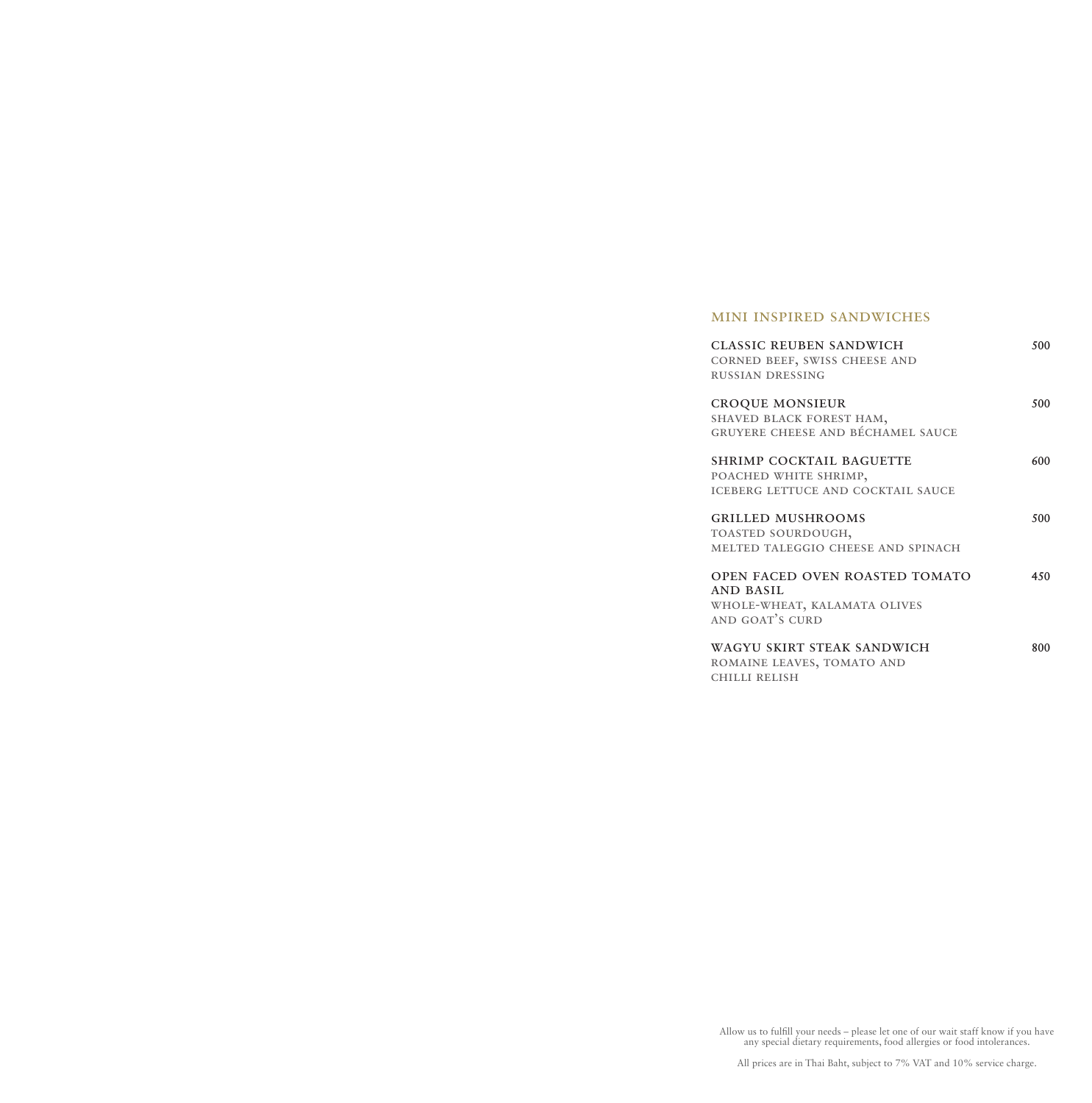# mini inspired sandwiches

| <b>CLASSIC REUBEN SANDWICH</b><br>CORNED BEEF, SWISS CHEESE AND<br><b>RUSSIAN DRESSING</b>            | 500 |
|-------------------------------------------------------------------------------------------------------|-----|
| <b>CROQUE MONSIEUR</b><br>SHAVED BLACK FOREST HAM,<br>GRUYERE CHEESE AND BÉCHAMEL SAUCE               | 500 |
| SHRIMP COCKTAIL BAGUETTE<br>POACHED WHITE SHRIMP,<br><b>ICEBERG LETTUCE AND COCKTAIL SAUCE</b>        | 600 |
| <b>GRILLED MUSHROOMS</b><br>TOASTED SOURDOUGH,<br>MELTED TALEGGIO CHEESE AND SPINACH                  | 500 |
| <b>OPEN FACED OVEN ROASTED TOMATO</b><br>AND BASIL<br>WHOLE-WHEAT, KALAMATA OLIVES<br>AND GOAT'S CURD | 450 |
| WAGYU SKIRT STEAK SANDWICH<br>ROMAINE LEAVES, TOMATO AND<br>CHILLI RELISH                             | 800 |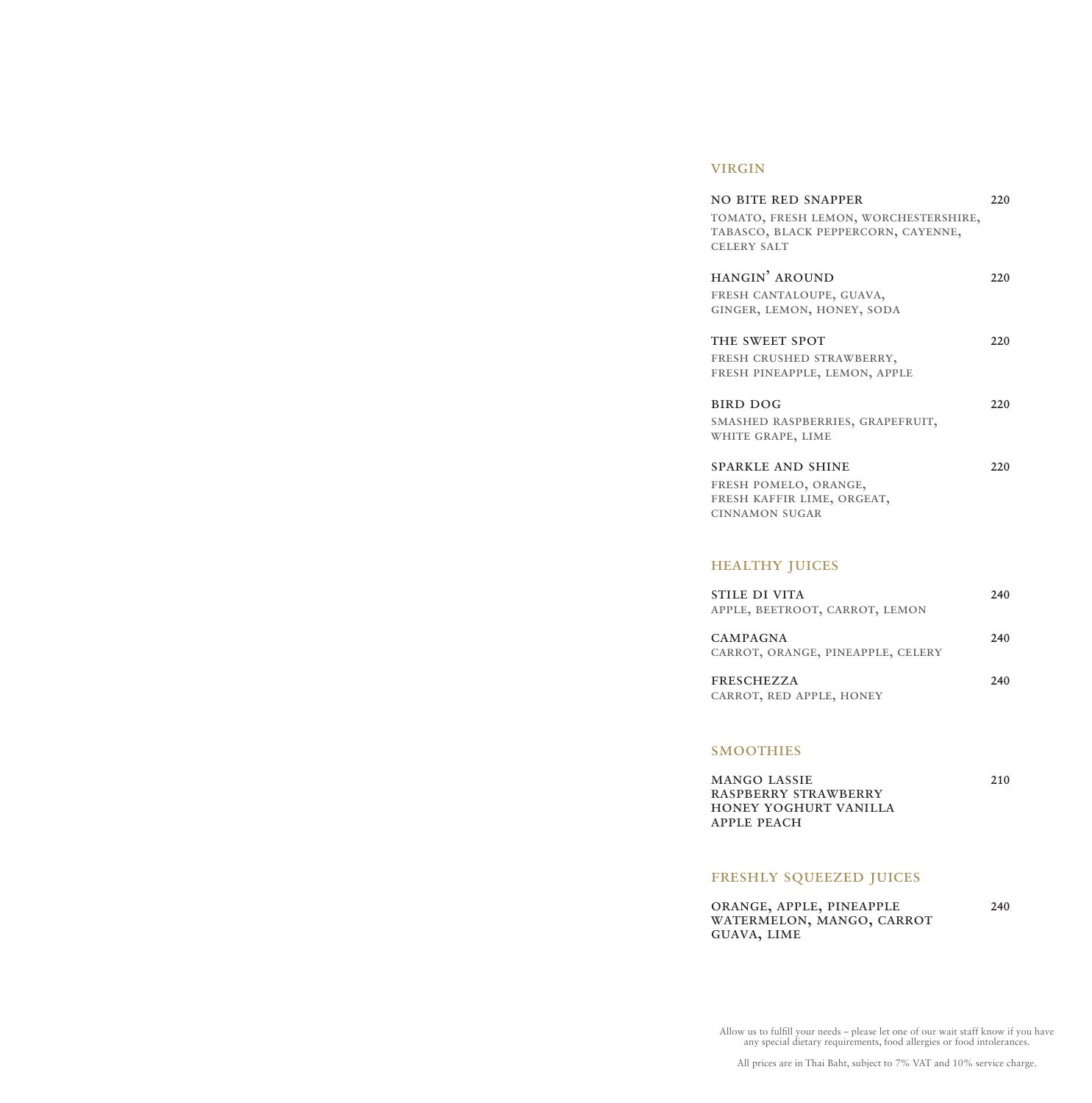# virgin

| <b>NO BITE RED SNAPPER</b>            | 220 |
|---------------------------------------|-----|
| TOMATO, FRESH LEMON, WORCHESTERSHIRE, |     |
| TABASCO, BLACK PEPPERCORN, CAYENNE,   |     |
| <b>CELERY SALT</b>                    |     |
|                                       |     |
| HANGIN' AROUND                        | 220 |
| FRESH CANTALOUPE, GUAVA,              |     |
| GINGER, LEMON, HONEY, SODA            |     |
|                                       |     |
| THE SWEET SPOT                        | 220 |
| FRESH CRUSHED STRAWBERRY,             |     |
| FRESH PINEAPPLE, LEMON, APPLE         |     |
| <b>BIRD DOG</b>                       | 220 |
| SMASHED RASPBERRIES, GRAPEFRUIT,      |     |
| WHITE GRAPE, LIME                     |     |
|                                       |     |
| <b>SPARKLE AND SHINE</b>              | 220 |
| FRESH POMELO, ORANGE,                 |     |
| FRESH KAFFIR LIME, ORGEAT,            |     |
| <b>CINNAMON SUGAR</b>                 |     |
|                                       |     |
|                                       |     |
| <b>HEALTHY JUICES</b>                 |     |
| <b>STILE DI VITA</b>                  |     |
|                                       | 240 |
| APPLE, BEETROOT, CARROT, LEMON        |     |

| CAMPAGNA                          | 240 |
|-----------------------------------|-----|
| CARROT, ORANGE, PINEAPPLE, CELERY |     |

freschezza 240 carrot, red apple, honey

# **SMOOTHIES**

mango lassie 210 raspberry strawberry honey yoghurt vanilla apple peach

# FRESHLY SQUEEZED JUICES

| ORANGE, APPLE, PINEAPPLE  | 240 |
|---------------------------|-----|
| WATERMELON, MANGO, CARROT |     |
| GUAVA, LIME               |     |